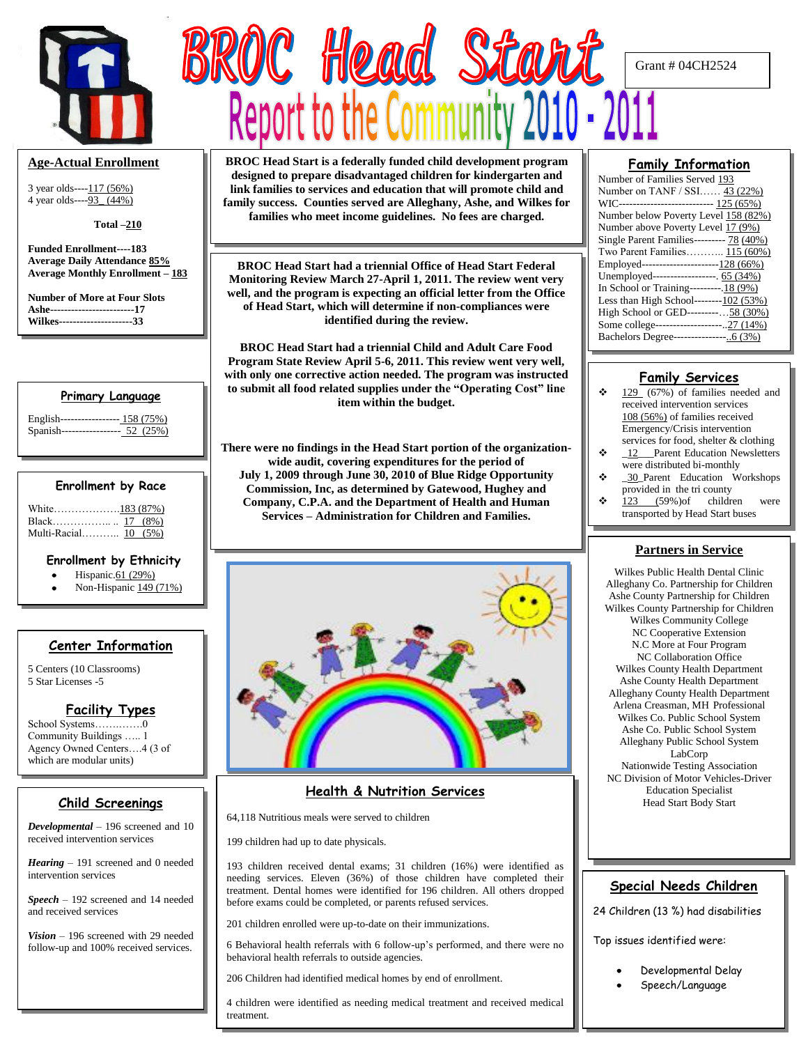

### **Age-Actual Enrollment**

3 year olds----117 (56%) 4 year olds----93\_ (44%)

 **Total –210**

**Funded Enrollment----183 Average Daily Attendance 85% Average Monthly Enrollment – 183**

**Number of More at Four Slots Ashe------------------------17 Wilkes---------------------33**

#### **Primary Language**

| English----------------- 158 (75%) |  |
|------------------------------------|--|
| Spanish----------------- 52 (25%)  |  |

#### **Enrollment by Race**

| Multi-Racial 10 (5%) |  |
|----------------------|--|

#### **Enrollment by Ethnicity**

- Hispanic.61 (29%)
- Non-Hispanic 149 (71%)

# **Center Information**

5 Centers (10 Classrooms) 5 Star Licenses -5

### **Facility Types**

School Systems…….…….0 Community Buildings ….. 1 Agency Owned Centers….4 (3 of which are modular units)

# **Child Screenings**

*Developmental* – 196 screened and 10 received intervention services

*Hearing* – 191 screened and 0 needed intervention services

*Speech* – 192 screened and 14 needed and received services

*Vision* – 196 screened with 29 needed follow-up and 100% received services.

**BROC Head Start is a federally funded child development program designed to prepare disadvantaged children for kindergarten and link families to services and education that will promote child and family success. Counties served are Alleghany, Ashe, and Wilkes for families who meet income guidelines. No fees are charged.**

ROC Head Star

**BROC Head Start had a triennial Office of Head Start Federal Monitoring Review March 27-April 1, 2011. The review went very well, and the program is expecting an official letter from the Office of Head Start, which will determine if non-compliances were identified during the review.**

**BROC Head Start had a triennial Child and Adult Care Food Program State Review April 5-6, 2011. This review went very well, with only one corrective action needed. The program was instructed to submit all food related supplies under the "Operating Cost" line item within the budget.**

**There were no findings in the Head Start portion of the organizationwide audit, covering expenditures for the period of July 1, 2009 through June 30, 2010 of Blue Ridge Opportunity Commission, Inc, as determined by Gatewood, Hughey and Company, C.P.A. and the Department of Health and Human Services – Administration for Children and Families.**



# **Health & Nutrition Services**

64,118 Nutritious meals were served to children

199 children had up to date physicals.

193 children received dental exams; 31 children (16%) were identified as needing services. Eleven (36%) of those children have completed their treatment. Dental homes were identified for 196 children. All others dropped before exams could be completed, or parents refused services.

201 children enrolled were up-to-date on their immunizations.

6 Behavioral health referrals with 6 follow-up's performed, and there were no behavioral health referrals to outside agencies.

206 Children had identified medical homes by end of enrollment.

4 children were identified as needing medical treatment and received medical treatment.

### **Family Information**

Grant # 04CH2524

| Number of Families Served 193             |
|-------------------------------------------|
| Number on TANF / SSI 43 (22%)             |
| WIC--------------------------- 125 (65%)  |
| Number below Poverty Level 158 (82%)      |
| Number above Poverty Level 17 (9%)        |
| Single Parent Families--------- 78 (40%)  |
| Two Parent Families 115 (60%)             |
| Employed----------------------128 (66%)   |
| Unemployed------------------. 65 (34%)    |
| In School or Training---------18 (9%)     |
| Less than High School--------102 $(53\%)$ |
| High School or GED---------58 (30%)       |
| Some college--------------------27 (14%)  |
|                                           |
|                                           |

### **Family Services**

- $\div$  129 (67%) of families needed and received intervention services 108 (56%) of families received Emergency/Crisis intervention services for food, shelter & clothing
- $\div$  12 Parent Education Newsletters were distributed bi-monthly
- \_30\_Parent Education Workshops provided in the tri county
- $\div$  123 (59%) of children were transported by Head Start buses

#### **Partners in Service**

Wilkes Public Health Dental Clinic Alleghany Co. Partnership for Children Ashe County Partnership for Children Wilkes County Partnership for Children Wilkes Community College NC Cooperative Extension N.C More at Four Program NC Collaboration Office Wilkes County Health Department Ashe County Health Department Alleghany County Health Department Arlena Creasman, MH Professional Wilkes Co. Public School System Ashe Co. Public School System Alleghany Public School System LabCorp Nationwide Testing Association NC Division of Motor Vehicles-Driver Education Specialist Head Start Body Start

### **Special Needs Children**

24 Children (13 %) had disabilities

Top issues identified were:

- Developmental Delay
- Speech/Language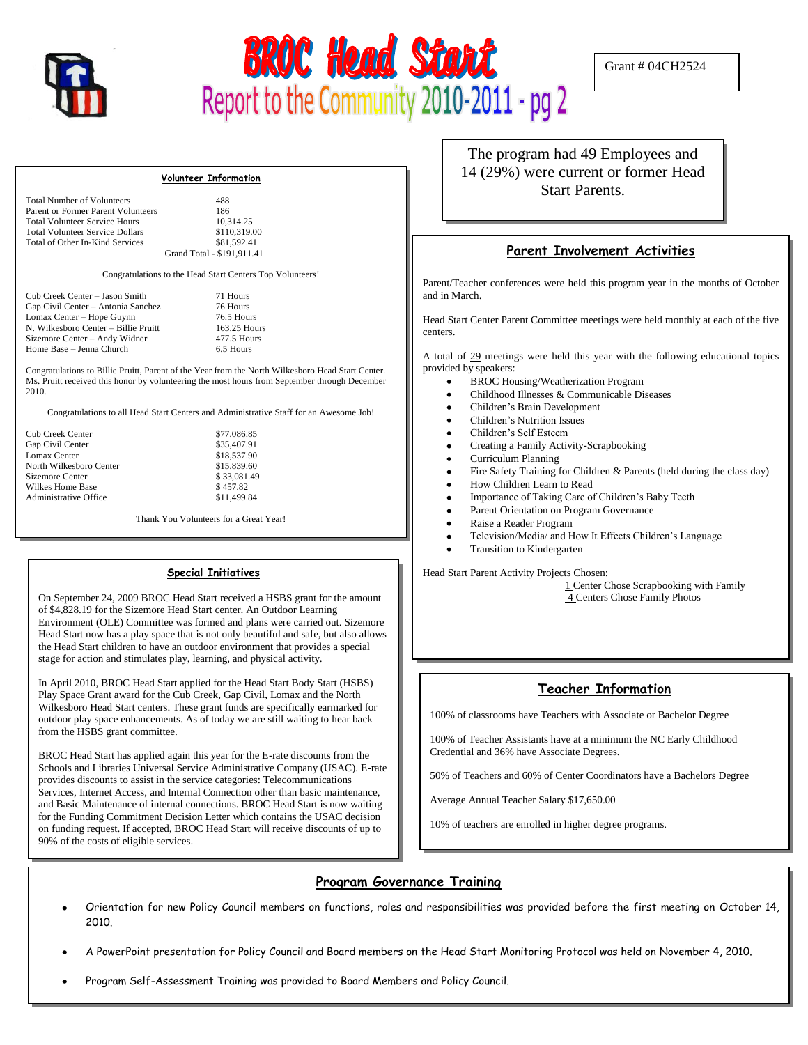



Grant # 04CH2524

#### **Volunteer Information**

| <b>Total Number of Volunteers</b>      | 488                        |
|----------------------------------------|----------------------------|
| Parent or Former Parent Volunteers     | 186                        |
| <b>Total Volunteer Service Hours</b>   | 10.314.25                  |
| <b>Total Volunteer Service Dollars</b> | \$110,319.00               |
| Total of Other In-Kind Services        | \$81,592.41                |
|                                        | Grand Total - \$191.911.41 |

Congratulations to the Head Start Centers Top Volunteers!

| Cub Creek Center - Jason Smith       |
|--------------------------------------|
| Gap Civil Center - Antonia Sanchez   |
| Lomax Center - Hope Guynn            |
| N. Wilkesboro Center – Billie Pruitt |
| Sizemore Center - Andy Widner        |
| Home Base - Jenna Church             |

71 Hours 76 Hours 76.5 Hours 163.25 Hours  $477.5$  Hours 6.5 Hours

> \$77,086.85 \$35,407.91  $$18,537.90$  $$15,839.60$ \$ 33,081.49  $$457.82$ \$11,499.84

Congratulations to Billie Pruitt, Parent of the Year from the North Wilkesboro Head Start Center. Ms. Pruitt received this honor by volunteering the most hours from September through December 2010.

Congratulations to all Head Start Centers and Administrative Staff for an Awesome Job!

| Cub Creek Center        |
|-------------------------|
| Gap Civil Center        |
| Lomax Center            |
| North Wilkesboro Center |
| Sizemore Center         |
| Wilkes Home Base        |
| Administrative Office   |

Thank You Volunteers for a Great Year!

#### **Special Initiatives**

On September 24, 2009 BROC Head Start received a HSBS grant for the amount of \$4,828.19 for the Sizemore Head Start center. An Outdoor Learning Environment (OLE) Committee was formed and plans were carried out. Sizemore Head Start now has a play space that is not only beautiful and safe, but also allows the Head Start children to have an outdoor environment that provides a special stage for action and stimulates play, learning, and physical activity.

In April 2010, BROC Head Start applied for the Head Start Body Start (HSBS) Play Space Grant award for the Cub Creek, Gap Civil, Lomax and the North Wilkesboro Head Start centers. These grant funds are specifically earmarked for outdoor play space enhancements. As of today we are still waiting to hear back from the HSBS grant committee.

BROC Head Start has applied again this year for the E-rate discounts from the Schools and Libraries Universal Service Administrative Company (USAC). E-rate provides discounts to assist in the service categories: Telecommunications Services, Internet Access, and Internal Connection other than basic maintenance, and Basic Maintenance of internal connections. BROC Head Start is now waiting for the Funding Commitment Decision Letter which contains the USAC decision on funding request. If accepted, BROC Head Start will receive discounts of up to 90% of the costs of eligible services.

The program had 49 Employees and 14 (29%) were current or former Head Start Parents.

#### **Parent Involvement Activities**

Parent/Teacher conferences were held this program year in the months of October and in March.

Head Start Center Parent Committee meetings were held monthly at each of the five centers.

A total of 29 meetings were held this year with the following educational topics provided by speakers:

- BROC Housing/Weatherization Program
- Childhood Illnesses & Communicable Diseases
- Children's Brain Development
- Children's Nutrition Issues
- Children's Self Esteem
- Creating a Family Activity-Scrapbooking
- Curriculum Planning
- Fire Safety Training for Children & Parents (held during the class day)
- How Children Learn to Read
- $\bullet$ Importance of Taking Care of Children's Baby Teeth
- Parent Orientation on Program Governance  $\bullet$
- Raise a Reader Program
- Television/Media/ and How It Effects Children's Language
- Transition to Kindergarten

Head Start Parent Activity Projects Chosen:

1 Center Chose Scrapbooking with Family 4 Centers Chose Family Photos

### **Teacher Information**

100% of classrooms have Teachers with Associate or Bachelor Degree

100% of Teacher Assistants have at a minimum the NC Early Childhood Credential and 36% have Associate Degrees.

50% of Teachers and 60% of Center Coordinators have a Bachelors Degree

Average Annual Teacher Salary \$17,650.00

10% of teachers are enrolled in higher degree programs.

#### ī **Program Governance Training**

- Orientation for new Policy Council members on functions, roles and responsibilities was provided before the first meeting on October 14, 2010.
- A PowerPoint presentation for Policy Council and Board members on the Head Start Monitoring Protocol was held on November 4, 2010.
- Program Self-Assessment Training was provided to Board Members and Policy Council.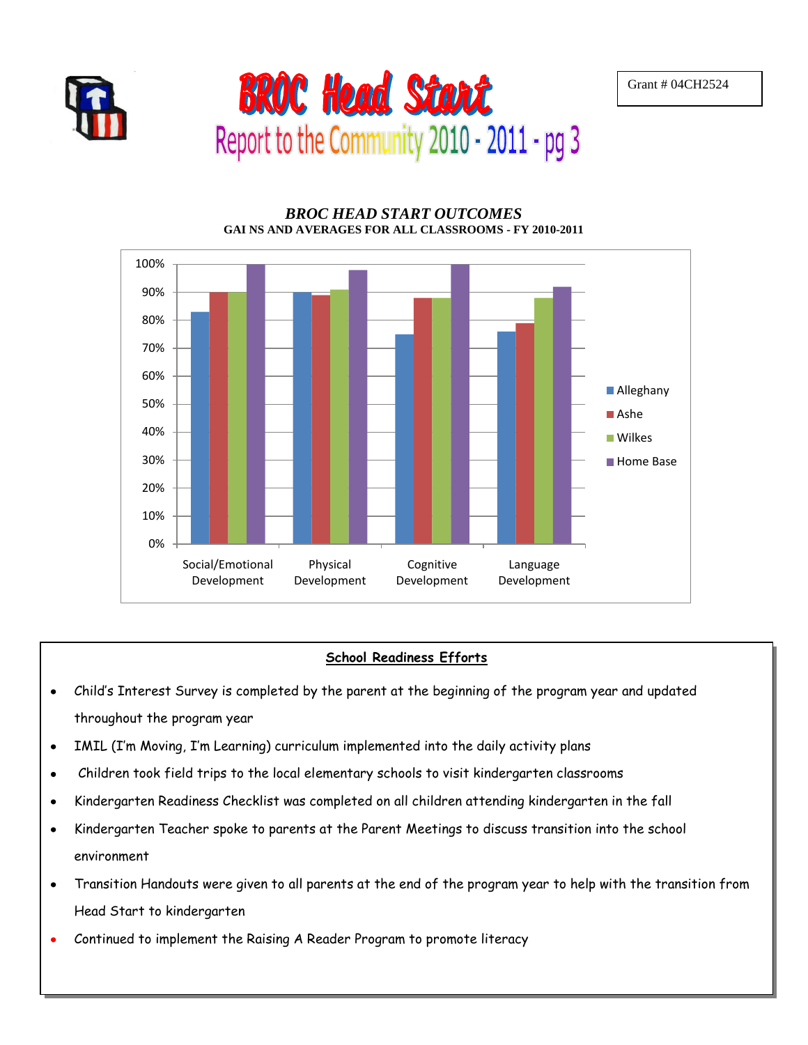



### *BROC HEAD START OUTCOMES* **GAI NS AND AVERAGES FOR ALL CLASSROOMS - FY 2010-2011**



## **School Readiness Efforts**

- Child's Interest Survey is completed by the parent at the beginning of the program year and updated  $\bullet$ throughout the program year
- IMIL (I'm Moving, I'm Learning) curriculum implemented into the daily activity plans  $\bullet$
- Children took field trips to the local elementary schools to visit kindergarten classrooms  $\bullet$
- Kindergarten Readiness Checklist was completed on all children attending kindergarten in the fall  $\bullet$
- Kindergarten Teacher spoke to parents at the Parent Meetings to discuss transition into the school  $\bullet$ environment
- Transition Handouts were given to all parents at the end of the program year to help with the transition from  $\bullet$ Head Start to kindergarten
- Continued to implement the Raising A Reader Program to promote literacy  $\bullet$